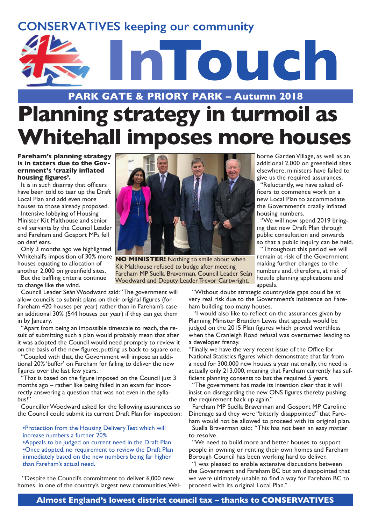# **CONSERVATIVES keeping our community**



### **PARK GATE & PRIORY PARK – Autumn 2018**

# **Planning strategy in turmoil as Whitehall imposes more houses**

#### **Fareham's planning strategy is in tatters due to the Government's 'crazily inflated housing figures'.**

It is in such disarray that officers have been told to tear up the Draft Local Plan and add even more houses to those already proposed.

Intensive lobbying of Housing Minister Kit Malthouse and senior civil servants by the Council Leader and Fareham and Gosport MPs fell on deaf ears.

Only 3 months ago we highlighted houses equating to allocation of another 2,000 on greenfield sites.

But the baffling criteria continue to change like the wind.

Council Leader Seán Woodward said: "The government will allow councils to submit plans on their original figures (for Fareham 420 houses per year) rather than in Fareham's case an additional 30% (544 houses per year) if they can get them in by January.

"Apart from being an impossible timescale to reach, the result of submitting such a plan would probably mean that after it was adopted the Council would need promptly to review it on the basis of the new figures, putting us back to square one.

"Coupled with that, the Government will impose an additional 20% 'buffer' on Fareham for failing to deliver the new figures over the last few years.

That is based on the figure imposed on the Council just 3 months ago – rather like being failed in an exam for incorrectly answering a question that was not even in the syllabus!"

Councillor Woodward asked for the following assurances so the Council could submit its current Draft Plan for inspection:

#### •Protection from the Housing Delivery Test which will increase numbers a further 20%

•Appeals to be judged on current need in the Draft Plan •Once adopted, no requirement to review the Draft Plan immediately based on the new numbers being far higher than Fareham's actual need.

 "Despite the Council's commitment to deliver 6,000 new homes in one of the country's largest new communities, Wel-



Whitehall's imposition of 30% more **NO MINISTER!** Nothing to smile about when Kit Malthouse refused to budge after meeting Fareham MP Suella Braverman, Council Leader Seán Woodward and Deputy Leader Trevor Cartwright.

borne Garden Village, as well as an additional 2,000 on greenfield sites elsewhere, ministers have failed to give us the required assurances.

"Reluctantly, we have asked officers to commence work on a new Local Plan to accommodate the Government's crazily inflated housing numbers.

"We will now spend 2019 bringing that new Draft Plan through public consultation and onwards so that a public inquiry can be held.

"Throughout this period we will remain at risk of the Government making further changes to the numbers and, therefore, at risk of hostile planning applications and appeals.

"Without doubt strategic countryside gaps could be at very real risk due to the Government's insistence on Fareham building too many houses.

 "I would also like to reflect on the assurances given by Planning Minister Brandon Lewis that appeals would be judged on the 2015 Plan figures which proved worthless when the Cranleigh Road refusal was overturned leading to a developer frenzy.

"Finally, we have the very recent issue of the Office for National Statistics figures which demonstrate that far from a need for 300,000 new houses a year nationally, the need is actually only 213,000, meaning that Fareham currently has sufficient planning consents to last the required 5 years.

"The government has made its intention clear that it will insist on disregarding the new ONS figures thereby pushing the requirement back up again."

Fareham MP Suella Braverman and Gosport MP Caroline Dinenage said they were "bitterly disappointed" that Fareham would not be allowed to proceed with its original plan.

Suella Braverman said: "This has not been an easy matter to resolve.

"We need to build more and better houses to support people in owning or renting their own homes and Fareham Borough Council has been working hard to deliver.

"I was pleased to enable extensive discussions between the Government and Fareham BC but am disappointed that we were ultimately unable to find a way for Fareham BC to proceed with its original Local Plan."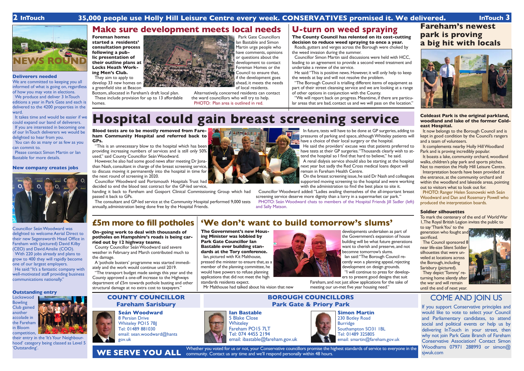#### **Deliverers needed**

We are committed to keeping you all informed of what is going on, regardless of how you may vote in elections.

We produce and deliver 3 InTouch editions a year in Park Gate and each is delivered to the 4200 properties in the ward.

It takes time and would be easier if we could expand our band of deliverers. If you are interested in becoming one of our InTouch deliverers we would be delighted to hear from you.

You can do as many or as few as you can commit to.

Please contact Simon Martin or Ian Bastable for more details.

**Lockswood Bowling** Club gained another accolade in the Fareham in Bloom competition,

#### **New company creates jobs**



Councillor Seán Woodward was delighted to welcome Aerial Direct to their new Segensworth Head Office in Fareham with (pictured) David Kilby (CEO) and David Ainslie (COO).

With 220 jobs already and plans to grow to 400 they will rapidly become one of our largest employers.

He said: "It's a fantastic company with well-motivated staff providing business communications nationally."

#### **Outstanding entry**

'Outstanding'. Whether you voted for us or not, your Conservative councillors promise the highest standards of service to everyone in the community. Contact us any time and we'll respond personally within 48 hours. **WE SERVE YOU ALL**

their entry in the 'It's Your Neighbourhood' category being classed as Level 5

#### **Seán Woodward**

8 Persian Drive Whiteley PO15 7BJ Tel: 01489 881030 email: sean.woodward@hants gov.uk

## **COUNTY COUNCILLOR Fareham Sarisbury**



If you support Conservative principles and would like to vote to select your Council and Parliamentary candidates, to attend social and political events or help us by delivering InTouch in your street, then why not join Park Gate Branch of Fareham Conservative Association? Contact Simon Woodhams 07971 288993 or simon@ sjwuk.com

**Ian Bastable** 5 Blake Close **Whiteley** Fareham PO15 7LT Tel: 074 4455 2194 email: ibastable@fareham.gov.uk

### **2 InTouch 35,000 people use Holly Hill Leisure Centre every week. CONSERVATIVES promised it. We delivered. InTouch 3**

Alternatively, concerned residents can contact the ward councillors who will try to help. PHOTO: Plan area is outlined in red.



# **£5m more to fill potholes**

**On-going work to deal with thousands of potholes on Hampshire's roads is being carried out by 12 highway teams.**

County Councillor Seán Woodward said severe weather in February and March contributed much to the damage.

A 'pothole busters' programme was started immediately and the work would continue until 2019.

"The transport budget made savings this year and the County approved a one-off increase to the Highways department of £5m towards pothole busting and other structural damage at no extra cost to taxpayers."

**'We don't want to build tomorrow's slums'**

It complements nearby Holly Hill Woodland Park and is proving incredibly popular.

**The Government's new Housing Minister was lobbied by Park Gate Councillor Ian Bastable over building standards at the Tory conference.** Ian, pictured with Kit Malthouse,

pressed the minister to ensure that, as a member of the planning committee, he would have powers to refuse planning applications that did not meet the high standards residents expect.

Mr Malthouse had talked about his vision that new



The Council sponsored 8 near life-size Silent Soldier silhouettes that were unveiled at locations across the Borough, including Sarisbury (pictured).

developments undertaken as part of the Government's expansion of house building will be what future generations want to cherish and preserve, and not becomne tomorrow's slums. Ian said: "The Borough Council recently won a planning appeal, rejecting development on design grounds. "I will continue to press for developers to present good designs that suit

However, he also had some good news after meeting Dr Jonathan Nash, consultant in charge of the breast screening service, to discuss moving it permanently into the hospital in time for the next round of screening in 2020.

> Fareham, and not just allow applications for the sake of meeting our un-met five year housing need."

**Foreman homes started a residents' consultation process following a public presentation of** 



**Locks Heath Working Men's Club.** They aim to apply to develop 33 new homes on a greenfield site at Beacon

Bottom, allocated in Fareham's draft local plan. These include provision for up to 13 affordable

homes.

Park Gate Councillors

Ian Bastable and Simon Martin urge people who have comments, opinions or questions about the development to contact Foreman Homes or the Council to ensure that, if the development goes ahead, it meets the needs of local residents.

### **Make sure development meets local needs U-turn on weed spraying The County Council has relented on its cost-cutting decision to reduce weed spraying to once a year.**

Roads, gutters and verges across the Borough were choked by the weed invasion during the summer.

Councillor Simon Martin said discussions were held with HCC, leading to an agreement to provide a second weed treatment and undertake a review of the service.

He said: "This is positive news. However, it will only help to keep the weeds at bay and will not resolve the problem.

"The Borough Council is trialling different items of equipment as part of their street cleansing service and we are looking at a range of other options in conjunction with the County.

"We will report back on progress. Meantime, if there are particular areas that are bad, contact us and we will pass on the location."



230 Botley Road Burridge Southampton SO31 1BL Tel: 01489 325805 email: smartin@fareham.gov.uk

# **Fareham's newest park is proving a big hit with locals**



#### **Coldeast Park is the original parkland, woodland and lake of the former Coldeast Hospital.**

It now belongs to the Borough Council and is kept in good condition by the Council's rangers and a team of volunteers.

It boasts a lake, community orchard, woodland walks, children's play park and sports pitches. Not to mention the Holly Hill Leisure Centre.

Interpretation boards have been provided at the entrance, at the community orchard and within the woodland and lakeside areas, pointing out to visitors what to look out for.

PHOTO: Ranger Helen Sosnowski with Seán Woodward and Dan and Rosemary Powell who produced the interpretation boards.

#### **Soldier silhouettes**

To mark the centenary of the end of World War 1, The Royal British Legion invites the public to

to say 'Thank You' to the generation who fought and sacrificed.

They depict 'Tommy' returning home silently after the war and will remain until the end of next year.



# **Hospital could gain breast screening service**

**Blood tests are to be mostly removed from Fareham Community Hospital and referred back to GPs.**

"This is an unnecessary blow to the hospital which has been providing increasing numbers of services and is still only 50% used," said County Councillor Seán Woodward.

Councillor Woodward said Portsmouth Hospitals Trust had decided to end the blood test contract for the GP-led service,

handing it back to Fareham and Gosport Clinical Commissioning Group which had passed it back to GPs.

The consultant and GP-led service at the Community Hospital performed 9,000 tests annually, administration being done free by the Hospital Friends.



In future, tests will have to be done at GP surgeries, adding to pressures of parking and space, although Whiteley patients will have a choice of their local surgery or the hospital.

He said the providers' excuse was that patients preferred to have tests at their GP surgeries. "Thousands clearly wish to attend the hospital so I find that hard to believe," he said. A renal dialysis service should also be starting at the hospital next year but sadly the Red Cross medical loans depot will remain in Fareham Health Centre.

On the breast screening issue, he said Dr Nash and colleagues supported moving screening to the hospital and were working with the administration to find the best place to site it.

Councillor Woodward added: "Ladies availing themselves of the all-important breast screening service deserve more dignity than a lorry in a supermarket car park." PHOTO: Seán Woodward chats to members of the Hospital Friends Jill Sadler (left) and Sally Matson.